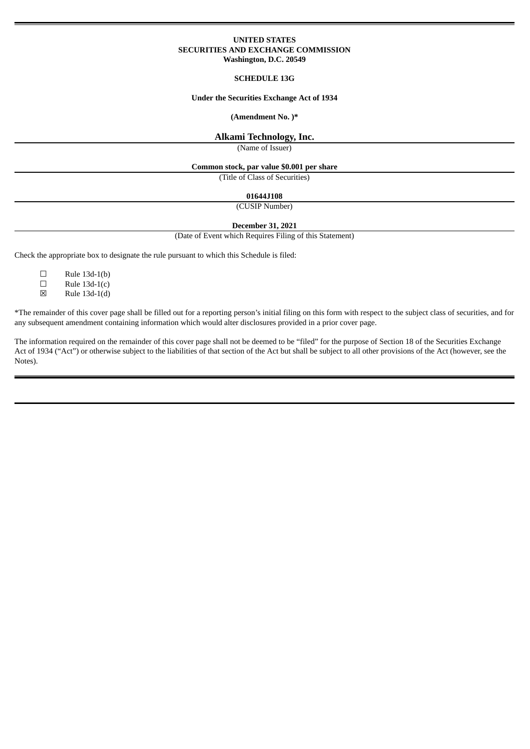### **UNITED STATES SECURITIES AND EXCHANGE COMMISSION Washington, D.C. 20549**

### **SCHEDULE 13G**

#### **Under the Securities Exchange Act of 1934**

#### **(Amendment No. )\***

#### **Alkami Technology, Inc.**

(Name of Issuer)

#### **Common stock, par value \$0.001 per share**

(Title of Class of Securities)

#### **01644J108**

(CUSIP Number)

## **December 31, 2021**

(Date of Event which Requires Filing of this Statement)

Check the appropriate box to designate the rule pursuant to which this Schedule is filed:

- $\square$  Rule 13d-1(b)
- $\square$  Rule 13d-1(c)<br>  $\square$  Rule 13d-1(d)
- ☒ Rule 13d-1(d)

\*The remainder of this cover page shall be filled out for a reporting person's initial filing on this form with respect to the subject class of securities, and for any subsequent amendment containing information which would alter disclosures provided in a prior cover page.

The information required on the remainder of this cover page shall not be deemed to be "filed" for the purpose of Section 18 of the Securities Exchange Act of 1934 ("Act") or otherwise subject to the liabilities of that section of the Act but shall be subject to all other provisions of the Act (however, see the Notes).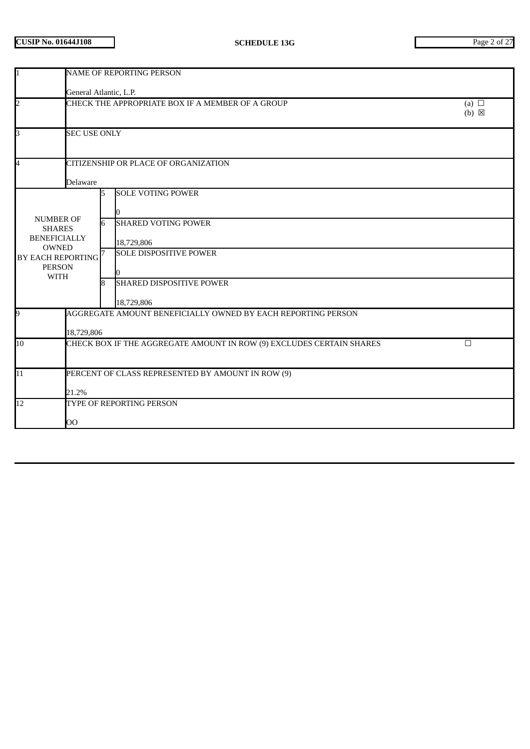| I1                                                                                                                                         | <b>NAME OF REPORTING PERSON</b>                                                |        |                                                                                                                                                        |                               |  |  |  |  |
|--------------------------------------------------------------------------------------------------------------------------------------------|--------------------------------------------------------------------------------|--------|--------------------------------------------------------------------------------------------------------------------------------------------------------|-------------------------------|--|--|--|--|
|                                                                                                                                            | General Atlantic, L.P.                                                         |        |                                                                                                                                                        |                               |  |  |  |  |
| $\overline{2}$                                                                                                                             |                                                                                |        | CHECK THE APPROPRIATE BOX IF A MEMBER OF A GROUP                                                                                                       | (a) $\Box$<br>$(b) \boxtimes$ |  |  |  |  |
| B                                                                                                                                          | <b>SEC USE ONLY</b>                                                            |        |                                                                                                                                                        |                               |  |  |  |  |
| 4                                                                                                                                          | Delaware                                                                       |        | CITIZENSHIP OR PLACE OF ORGANIZATION                                                                                                                   |                               |  |  |  |  |
| <b>NUMBER OF</b><br><b>SHARES</b><br><b>BENEFICIALLY</b><br><b>OWNED</b><br>BY EACH REPORTING <sup>7</sup><br><b>PERSON</b><br><b>WITH</b> |                                                                                | 6<br>R | <b>SOLE VOTING POWER</b><br><b>SHARED VOTING POWER</b><br>18,729,806<br><b>SOLE DISPOSITIVE POWER</b><br><b>SHARED DISPOSITIVE POWER</b><br>18,729,806 |                               |  |  |  |  |
| 9                                                                                                                                          | 18,729,806                                                                     |        | AGGREGATE AMOUNT BENEFICIALLY OWNED BY EACH REPORTING PERSON                                                                                           |                               |  |  |  |  |
| $\overline{10}$                                                                                                                            | CHECK BOX IF THE AGGREGATE AMOUNT IN ROW (9) EXCLUDES CERTAIN SHARES<br>$\Box$ |        |                                                                                                                                                        |                               |  |  |  |  |
| $\overline{11}$                                                                                                                            | PERCENT OF CLASS REPRESENTED BY AMOUNT IN ROW (9)<br>21.2%                     |        |                                                                                                                                                        |                               |  |  |  |  |
| $\overline{12}$                                                                                                                            | OO                                                                             |        |                                                                                                                                                        | TYPE OF REPORTING PERSON      |  |  |  |  |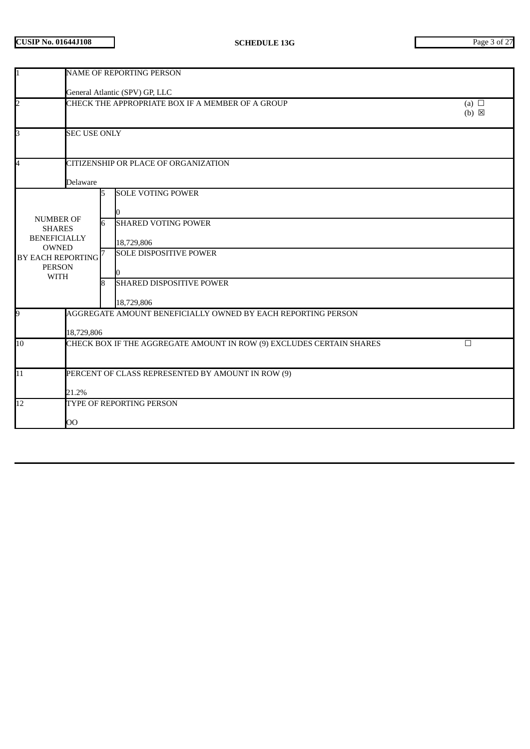| 11                                                                                                                                         | <b>NAME OF REPORTING PERSON</b>                                                |        |                                                                                                                                                        |                               |  |  |  |
|--------------------------------------------------------------------------------------------------------------------------------------------|--------------------------------------------------------------------------------|--------|--------------------------------------------------------------------------------------------------------------------------------------------------------|-------------------------------|--|--|--|
|                                                                                                                                            | General Atlantic (SPV) GP, LLC                                                 |        |                                                                                                                                                        |                               |  |  |  |
| $\overline{2}$                                                                                                                             |                                                                                |        | CHECK THE APPROPRIATE BOX IF A MEMBER OF A GROUP                                                                                                       | (a) $\Box$<br>$(b) \boxtimes$ |  |  |  |
| 3                                                                                                                                          | <b>SEC USE ONLY</b>                                                            |        |                                                                                                                                                        |                               |  |  |  |
| 4                                                                                                                                          | Delaware                                                                       |        | CITIZENSHIP OR PLACE OF ORGANIZATION                                                                                                                   |                               |  |  |  |
| <b>NUMBER OF</b><br><b>SHARES</b><br><b>BENEFICIALLY</b><br><b>OWNED</b><br>BY EACH REPORTING <sup>7</sup><br><b>PERSON</b><br><b>WITH</b> |                                                                                | 6<br>8 | <b>SOLE VOTING POWER</b><br><b>SHARED VOTING POWER</b><br>18,729,806<br><b>SOLE DISPOSITIVE POWER</b><br><b>SHARED DISPOSITIVE POWER</b><br>18,729,806 |                               |  |  |  |
| 9                                                                                                                                          | 18,729,806                                                                     |        | AGGREGATE AMOUNT BENEFICIALLY OWNED BY EACH REPORTING PERSON                                                                                           |                               |  |  |  |
| 10                                                                                                                                         | CHECK BOX IF THE AGGREGATE AMOUNT IN ROW (9) EXCLUDES CERTAIN SHARES<br>$\Box$ |        |                                                                                                                                                        |                               |  |  |  |
| $\overline{11}$                                                                                                                            | PERCENT OF CLASS REPRESENTED BY AMOUNT IN ROW (9)<br>21.2%                     |        |                                                                                                                                                        |                               |  |  |  |
| $\overline{12}$                                                                                                                            | TYPE OF REPORTING PERSON<br>OO                                                 |        |                                                                                                                                                        |                               |  |  |  |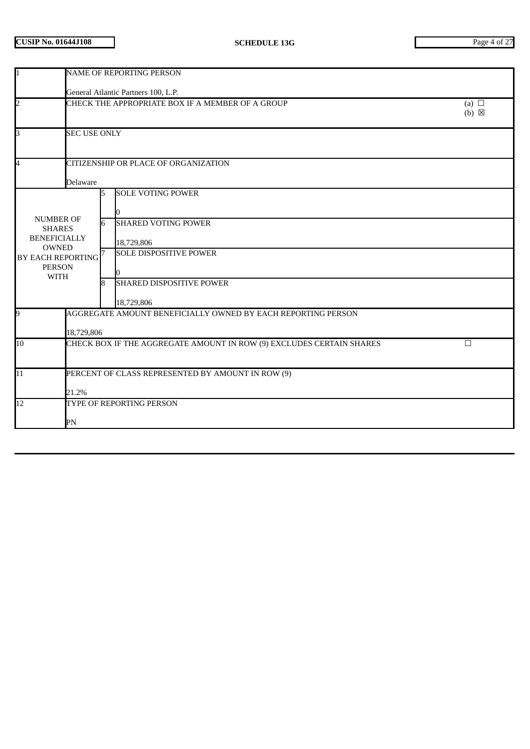| $\mathbf{1}$                                                                                                                  | <b>NAME OF REPORTING PERSON</b>                                                |                                     |                                                                                                                                                        |                               |  |  |  |
|-------------------------------------------------------------------------------------------------------------------------------|--------------------------------------------------------------------------------|-------------------------------------|--------------------------------------------------------------------------------------------------------------------------------------------------------|-------------------------------|--|--|--|
|                                                                                                                               |                                                                                | General Atlantic Partners 100, L.P. |                                                                                                                                                        |                               |  |  |  |
| $\overline{a}$                                                                                                                |                                                                                |                                     | CHECK THE APPROPRIATE BOX IF A MEMBER OF A GROUP                                                                                                       | (a) $\Box$<br>$(b) \boxtimes$ |  |  |  |
| 3                                                                                                                             | <b>SEC USE ONLY</b>                                                            |                                     |                                                                                                                                                        |                               |  |  |  |
| 4                                                                                                                             | Delaware                                                                       |                                     | CITIZENSHIP OR PLACE OF ORGANIZATION                                                                                                                   |                               |  |  |  |
| <b>NUMBER OF</b><br><b>SHARES</b><br><b>BENEFICIALLY</b><br><b>OWNED</b><br>BY EACH REPORTING<br><b>PERSON</b><br><b>WITH</b> |                                                                                | 5<br>6<br>8                         | <b>SOLE VOTING POWER</b><br><b>SHARED VOTING POWER</b><br>18,729,806<br><b>SOLE DISPOSITIVE POWER</b><br><b>SHARED DISPOSITIVE POWER</b><br>18,729,806 |                               |  |  |  |
| 9                                                                                                                             | 18,729,806                                                                     |                                     | AGGREGATE AMOUNT BENEFICIALLY OWNED BY EACH REPORTING PERSON                                                                                           |                               |  |  |  |
| 10                                                                                                                            | CHECK BOX IF THE AGGREGATE AMOUNT IN ROW (9) EXCLUDES CERTAIN SHARES<br>$\Box$ |                                     |                                                                                                                                                        |                               |  |  |  |
| $\overline{11}$                                                                                                               | PERCENT OF CLASS REPRESENTED BY AMOUNT IN ROW (9)<br>21.2%                     |                                     |                                                                                                                                                        |                               |  |  |  |
| 12                                                                                                                            | PN                                                                             |                                     | TYPE OF REPORTING PERSON                                                                                                                               |                               |  |  |  |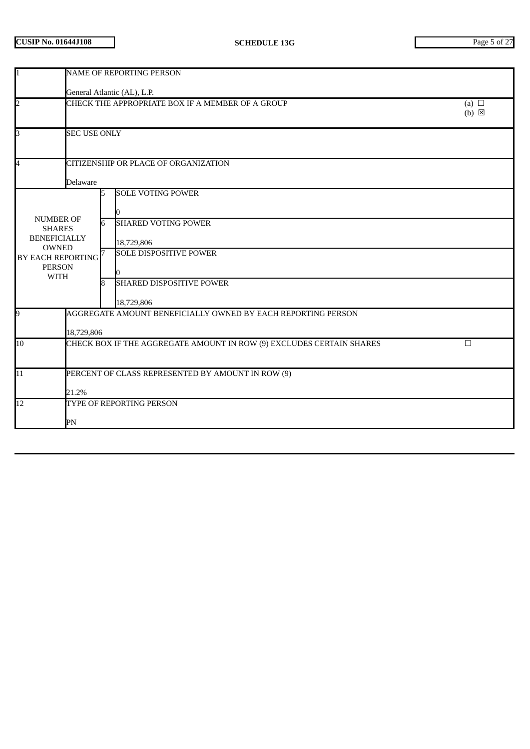| 1                                                                                                                                                      | <b>NAME OF REPORTING PERSON</b>                                                |                                                                                                                                                                       |  |  |  |  |
|--------------------------------------------------------------------------------------------------------------------------------------------------------|--------------------------------------------------------------------------------|-----------------------------------------------------------------------------------------------------------------------------------------------------------------------|--|--|--|--|
|                                                                                                                                                        | General Atlantic (AL), L.P.                                                    |                                                                                                                                                                       |  |  |  |  |
| $\overline{2}$                                                                                                                                         | CHECK THE APPROPRIATE BOX IF A MEMBER OF A GROUP                               |                                                                                                                                                                       |  |  |  |  |
| 3                                                                                                                                                      | <b>SEC USE ONLY</b>                                                            |                                                                                                                                                                       |  |  |  |  |
| 4                                                                                                                                                      |                                                                                | CITIZENSHIP OR PLACE OF ORGANIZATION                                                                                                                                  |  |  |  |  |
| Delaware<br><b>NUMBER OF</b><br><b>SHARES</b><br><b>BENEFICIALLY</b><br><b>OWNED</b><br>BY EACH REPORTING <sup>7</sup><br><b>PERSON</b><br><b>WITH</b> |                                                                                | <b>SOLE VOTING POWER</b><br>5<br><b>SHARED VOTING POWER</b><br>6<br>18,729,806<br><b>SOLE DISPOSITIVE POWER</b><br><b>SHARED DISPOSITIVE POWER</b><br>8<br>18,729,806 |  |  |  |  |
| 9                                                                                                                                                      | 18,729,806                                                                     | AGGREGATE AMOUNT BENEFICIALLY OWNED BY EACH REPORTING PERSON                                                                                                          |  |  |  |  |
| 10                                                                                                                                                     | CHECK BOX IF THE AGGREGATE AMOUNT IN ROW (9) EXCLUDES CERTAIN SHARES<br>$\Box$ |                                                                                                                                                                       |  |  |  |  |
| 11                                                                                                                                                     | PERCENT OF CLASS REPRESENTED BY AMOUNT IN ROW (9)<br>21.2%                     |                                                                                                                                                                       |  |  |  |  |
| $\overline{12}$                                                                                                                                        | PN                                                                             | TYPE OF REPORTING PERSON                                                                                                                                              |  |  |  |  |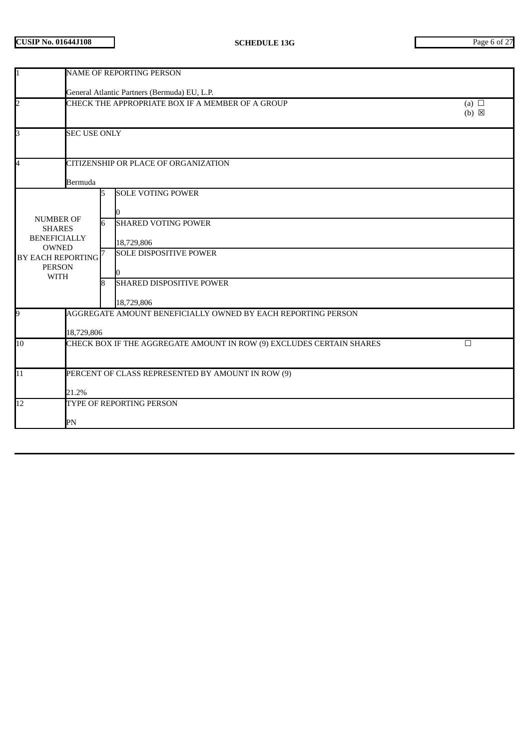| 1                                                                                                                                   | NAME OF REPORTING PERSON                                                  |         |                                                                                                                                                        |                               |  |  |
|-------------------------------------------------------------------------------------------------------------------------------------|---------------------------------------------------------------------------|---------|--------------------------------------------------------------------------------------------------------------------------------------------------------|-------------------------------|--|--|
|                                                                                                                                     | General Atlantic Partners (Bermuda) EU, L.P.                              |         |                                                                                                                                                        |                               |  |  |
| $\overline{2}$                                                                                                                      |                                                                           |         | CHECK THE APPROPRIATE BOX IF A MEMBER OF A GROUP                                                                                                       | (a) $\Box$<br>$(b) \boxtimes$ |  |  |
| 3                                                                                                                                   | <b>SEC USE ONLY</b>                                                       |         |                                                                                                                                                        |                               |  |  |
| 4                                                                                                                                   | Bermuda                                                                   |         | CITIZENSHIP OR PLACE OF ORGANIZATION                                                                                                                   |                               |  |  |
| <b>NUMBER OF</b><br><b>SHARES</b><br><b>BENEFICIALLY</b><br>OWNED<br>BY EACH REPORTING <sup>7</sup><br><b>PERSON</b><br><b>WITH</b> |                                                                           | 6<br>R. | <b>SOLE VOTING POWER</b><br><b>SHARED VOTING POWER</b><br>18,729,806<br><b>SOLE DISPOSITIVE POWER</b><br><b>SHARED DISPOSITIVE POWER</b><br>18,729,806 |                               |  |  |
| 9                                                                                                                                   | 18,729,806                                                                |         | AGGREGATE AMOUNT BENEFICIALLY OWNED BY EACH REPORTING PERSON                                                                                           |                               |  |  |
| 10                                                                                                                                  | CHECK BOX IF THE AGGREGATE AMOUNT IN ROW (9) EXCLUDES CERTAIN SHARES<br>□ |         |                                                                                                                                                        |                               |  |  |
| 11                                                                                                                                  | PERCENT OF CLASS REPRESENTED BY AMOUNT IN ROW (9)<br>21.2%                |         |                                                                                                                                                        |                               |  |  |
| $\overline{12}$                                                                                                                     | PN                                                                        |         | TYPE OF REPORTING PERSON                                                                                                                               |                               |  |  |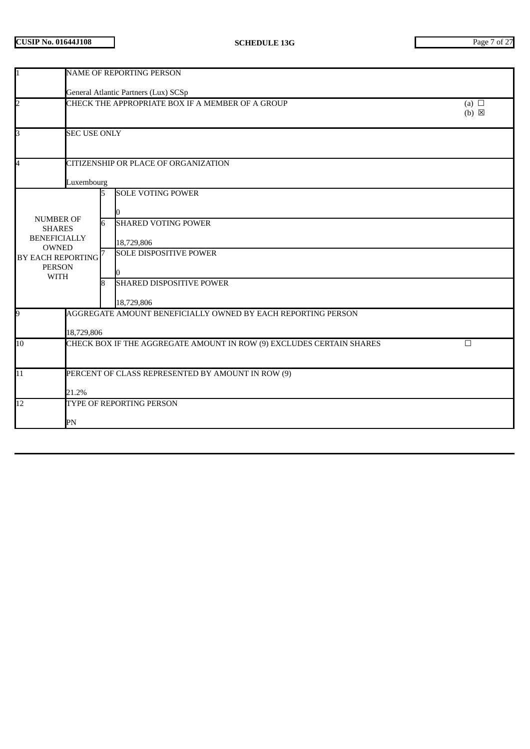| I1                                                       | <b>NAME OF REPORTING PERSON</b> |   |                                                                      |                               |  |  |
|----------------------------------------------------------|---------------------------------|---|----------------------------------------------------------------------|-------------------------------|--|--|
|                                                          |                                 |   | General Atlantic Partners (Lux) SCSp                                 |                               |  |  |
| $\overline{2}$                                           |                                 |   | CHECK THE APPROPRIATE BOX IF A MEMBER OF A GROUP                     | (a) $\Box$<br>$(b) \boxtimes$ |  |  |
| 3                                                        | <b>SEC USE ONLY</b>             |   |                                                                      |                               |  |  |
| 4                                                        |                                 |   | CITIZENSHIP OR PLACE OF ORGANIZATION                                 |                               |  |  |
|                                                          | Luxembourg                      |   |                                                                      |                               |  |  |
| <b>NUMBER OF</b>                                         |                                 | 5 | <b>SOLE VOTING POWER</b>                                             |                               |  |  |
| <b>SHARES</b><br><b>BENEFICIALLY</b><br><b>OWNED</b>     |                                 |   | <b>SHARED VOTING POWER</b><br>18,729,806                             |                               |  |  |
| <b>BY EACH REPORTING</b><br><b>PERSON</b><br><b>WITH</b> |                                 |   | <b>SOLE DISPOSITIVE POWER</b>                                        |                               |  |  |
|                                                          |                                 | 8 | <b>SHARED DISPOSITIVE POWER</b><br>18,729,806                        |                               |  |  |
| 9                                                        | 18,729,806                      |   | AGGREGATE AMOUNT BENEFICIALLY OWNED BY EACH REPORTING PERSON         |                               |  |  |
| 10 <sup>1</sup>                                          |                                 |   | CHECK BOX IF THE AGGREGATE AMOUNT IN ROW (9) EXCLUDES CERTAIN SHARES | $\Box$                        |  |  |
| 11                                                       | 21.2%                           |   | PERCENT OF CLASS REPRESENTED BY AMOUNT IN ROW (9)                    |                               |  |  |
| $\overline{12}$                                          | PN                              |   | TYPE OF REPORTING PERSON                                             |                               |  |  |
|                                                          |                                 |   |                                                                      |                               |  |  |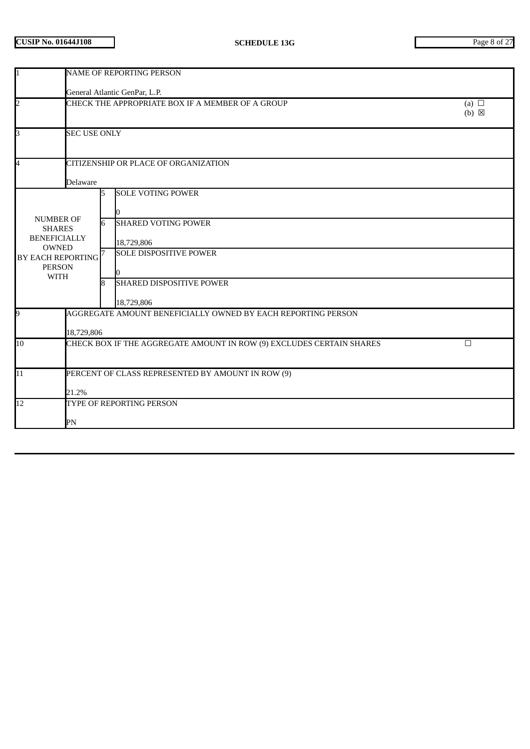| I1                                                       | <b>NAME OF REPORTING PERSON</b> |    |                                                                      |                               |  |
|----------------------------------------------------------|---------------------------------|----|----------------------------------------------------------------------|-------------------------------|--|
|                                                          |                                 |    | General Atlantic GenPar, L.P.                                        |                               |  |
| $\overline{2}$                                           |                                 |    | CHECK THE APPROPRIATE BOX IF A MEMBER OF A GROUP                     | (a) $\Box$<br>$(b) \boxtimes$ |  |
| 3                                                        | <b>SEC USE ONLY</b>             |    |                                                                      |                               |  |
| 4                                                        |                                 |    | CITIZENSHIP OR PLACE OF ORGANIZATION                                 |                               |  |
|                                                          | Delaware                        |    |                                                                      |                               |  |
| <b>NUMBER OF</b>                                         |                                 | 15 | <b>SOLE VOTING POWER</b>                                             |                               |  |
| <b>SHARES</b><br><b>BENEFICIALLY</b><br><b>OWNED</b>     |                                 |    | <b>SHARED VOTING POWER</b><br>18,729,806                             |                               |  |
| <b>BY EACH REPORTING</b><br><b>PERSON</b><br><b>WITH</b> |                                 |    | <b>SOLE DISPOSITIVE POWER</b>                                        |                               |  |
|                                                          |                                 | 8  | <b>SHARED DISPOSITIVE POWER</b><br>18,729,806                        |                               |  |
| 9                                                        | 18,729,806                      |    | AGGREGATE AMOUNT BENEFICIALLY OWNED BY EACH REPORTING PERSON         |                               |  |
| 10 <sup>1</sup>                                          |                                 |    | CHECK BOX IF THE AGGREGATE AMOUNT IN ROW (9) EXCLUDES CERTAIN SHARES | $\Box$                        |  |
| 11                                                       | 21.2%                           |    | PERCENT OF CLASS REPRESENTED BY AMOUNT IN ROW (9)                    |                               |  |
| $\overline{12}$                                          | PN                              |    | TYPE OF REPORTING PERSON                                             |                               |  |
|                                                          |                                 |    |                                                                      |                               |  |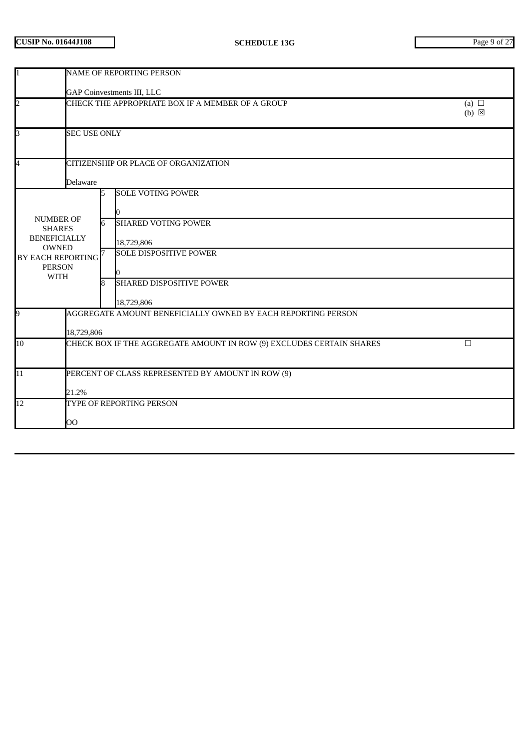| I1                                                       | <b>NAME OF REPORTING PERSON</b> |    |                                                                      |                               |  |
|----------------------------------------------------------|---------------------------------|----|----------------------------------------------------------------------|-------------------------------|--|
|                                                          |                                 |    | <b>GAP Coinvestments III, LLC</b>                                    |                               |  |
| $\overline{2}$                                           |                                 |    | CHECK THE APPROPRIATE BOX IF A MEMBER OF A GROUP                     | (a) $\Box$<br>$(b) \boxtimes$ |  |
| 3                                                        | <b>SEC USE ONLY</b>             |    |                                                                      |                               |  |
| 4                                                        |                                 |    | CITIZENSHIP OR PLACE OF ORGANIZATION                                 |                               |  |
|                                                          | Delaware                        |    |                                                                      |                               |  |
| <b>NUMBER OF</b>                                         |                                 | 15 | <b>SOLE VOTING POWER</b>                                             |                               |  |
| <b>SHARES</b><br><b>BENEFICIALLY</b><br><b>OWNED</b>     |                                 |    | <b>SHARED VOTING POWER</b><br>18,729,806                             |                               |  |
| <b>BY EACH REPORTING</b><br><b>PERSON</b><br><b>WITH</b> |                                 |    | <b>SOLE DISPOSITIVE POWER</b>                                        |                               |  |
|                                                          |                                 | 8  | <b>SHARED DISPOSITIVE POWER</b><br>18,729,806                        |                               |  |
| 9                                                        | 18,729,806                      |    | AGGREGATE AMOUNT BENEFICIALLY OWNED BY EACH REPORTING PERSON         |                               |  |
| 10 <sup>1</sup>                                          |                                 |    | CHECK BOX IF THE AGGREGATE AMOUNT IN ROW (9) EXCLUDES CERTAIN SHARES | $\Box$                        |  |
| 11                                                       | 21.2%                           |    | PERCENT OF CLASS REPRESENTED BY AMOUNT IN ROW (9)                    |                               |  |
| $\overline{12}$                                          | OO                              |    | TYPE OF REPORTING PERSON                                             |                               |  |
|                                                          |                                 |    |                                                                      |                               |  |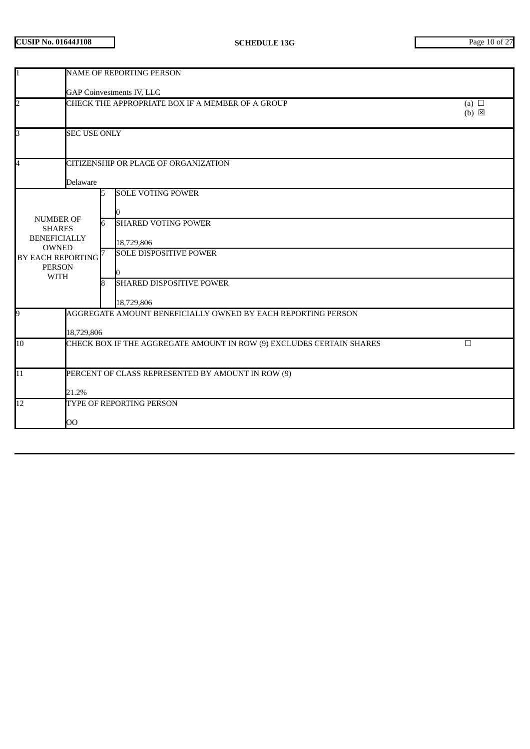| $\mathbf{1}$                                                                                                                               | NAME OF REPORTING PERSON                                                       |             |                                                                                                                                                        |                               |  |  |  |
|--------------------------------------------------------------------------------------------------------------------------------------------|--------------------------------------------------------------------------------|-------------|--------------------------------------------------------------------------------------------------------------------------------------------------------|-------------------------------|--|--|--|
|                                                                                                                                            | <b>GAP Coinvestments IV, LLC</b>                                               |             |                                                                                                                                                        |                               |  |  |  |
| $\overline{\mathbf{c}}$                                                                                                                    |                                                                                |             | CHECK THE APPROPRIATE BOX IF A MEMBER OF A GROUP                                                                                                       | (a) $\Box$<br>$(b) \boxtimes$ |  |  |  |
| $\overline{\mathbf{3}}$                                                                                                                    | <b>SEC USE ONLY</b>                                                            |             |                                                                                                                                                        |                               |  |  |  |
| $\overline{\mathbf{4}}$                                                                                                                    | <b>Delaware</b>                                                                |             | CITIZENSHIP OR PLACE OF ORGANIZATION                                                                                                                   |                               |  |  |  |
| <b>NUMBER OF</b><br><b>SHARES</b><br><b>BENEFICIALLY</b><br><b>OWNED</b><br>BY EACH REPORTING <sup>7</sup><br><b>PERSON</b><br><b>WITH</b> |                                                                                | 5<br>6<br>8 | <b>SOLE VOTING POWER</b><br><b>SHARED VOTING POWER</b><br>18,729,806<br><b>SOLE DISPOSITIVE POWER</b><br><b>SHARED DISPOSITIVE POWER</b><br>18,729,806 |                               |  |  |  |
| 9                                                                                                                                          | 18,729,806                                                                     |             | AGGREGATE AMOUNT BENEFICIALLY OWNED BY EACH REPORTING PERSON                                                                                           |                               |  |  |  |
| 10                                                                                                                                         | CHECK BOX IF THE AGGREGATE AMOUNT IN ROW (9) EXCLUDES CERTAIN SHARES<br>$\Box$ |             |                                                                                                                                                        |                               |  |  |  |
| $\overline{11}$                                                                                                                            | PERCENT OF CLASS REPRESENTED BY AMOUNT IN ROW (9)<br>21.2%                     |             |                                                                                                                                                        |                               |  |  |  |
| 12                                                                                                                                         | OO                                                                             |             | TYPE OF REPORTING PERSON                                                                                                                               |                               |  |  |  |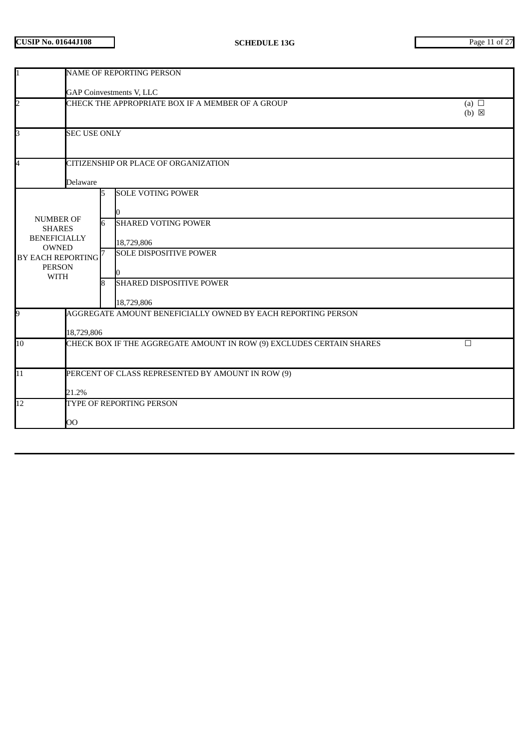| 1                                                                                                                                                             | <b>NAME OF REPORTING PERSON</b>                                                |             |                                                                                                                                                        |                               |  |  |  |
|---------------------------------------------------------------------------------------------------------------------------------------------------------------|--------------------------------------------------------------------------------|-------------|--------------------------------------------------------------------------------------------------------------------------------------------------------|-------------------------------|--|--|--|
|                                                                                                                                                               | <b>GAP Coinvestments V, LLC</b>                                                |             |                                                                                                                                                        |                               |  |  |  |
| $\overline{\mathbf{c}}$                                                                                                                                       |                                                                                |             | CHECK THE APPROPRIATE BOX IF A MEMBER OF A GROUP                                                                                                       | (a) $\Box$<br>$(b) \boxtimes$ |  |  |  |
| $\overline{\mathbf{3}}$                                                                                                                                       | <b>SEC USE ONLY</b>                                                            |             |                                                                                                                                                        |                               |  |  |  |
| $\overline{4}$                                                                                                                                                |                                                                                |             | CITIZENSHIP OR PLACE OF ORGANIZATION                                                                                                                   |                               |  |  |  |
| <b>Delaware</b><br><b>NUMBER OF</b><br><b>SHARES</b><br><b>BENEFICIALLY</b><br><b>OWNED</b><br>BY EACH REPORTING <sup>7</sup><br><b>PERSON</b><br><b>WITH</b> |                                                                                | 5<br>6<br>8 | <b>SOLE VOTING POWER</b><br><b>SHARED VOTING POWER</b><br>18,729,806<br><b>SOLE DISPOSITIVE POWER</b><br><b>SHARED DISPOSITIVE POWER</b><br>18,729,806 |                               |  |  |  |
| 9                                                                                                                                                             | 18,729,806                                                                     |             | AGGREGATE AMOUNT BENEFICIALLY OWNED BY EACH REPORTING PERSON                                                                                           |                               |  |  |  |
| 10                                                                                                                                                            | CHECK BOX IF THE AGGREGATE AMOUNT IN ROW (9) EXCLUDES CERTAIN SHARES<br>$\Box$ |             |                                                                                                                                                        |                               |  |  |  |
| $\overline{11}$                                                                                                                                               | PERCENT OF CLASS REPRESENTED BY AMOUNT IN ROW (9)<br>21.2%                     |             |                                                                                                                                                        |                               |  |  |  |
| 12                                                                                                                                                            | OO                                                                             |             | TYPE OF REPORTING PERSON                                                                                                                               |                               |  |  |  |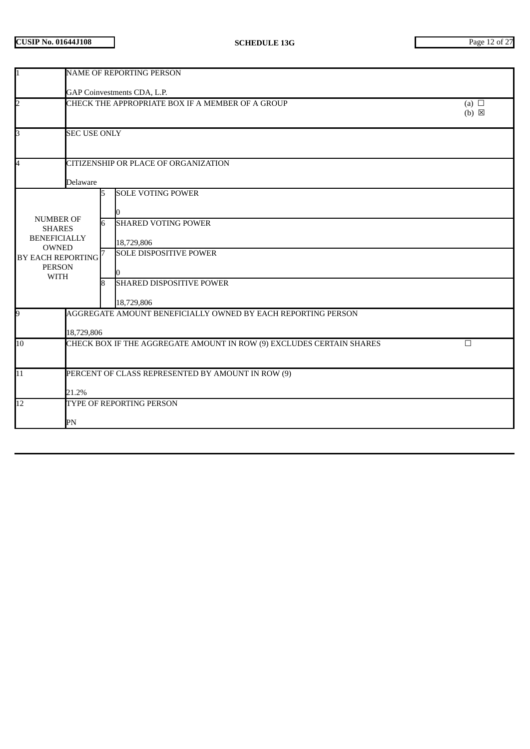| 1                                                                 | <b>NAME OF REPORTING PERSON</b>                                                   |                             |                                                                                |  |  |  |  |  |
|-------------------------------------------------------------------|-----------------------------------------------------------------------------------|-----------------------------|--------------------------------------------------------------------------------|--|--|--|--|--|
|                                                                   |                                                                                   | GAP Coinvestments CDA, L.P. |                                                                                |  |  |  |  |  |
| $\overline{2}$                                                    | CHECK THE APPROPRIATE BOX IF A MEMBER OF A GROUP<br>(a) $\Box$<br>$(b) \boxtimes$ |                             |                                                                                |  |  |  |  |  |
| $\overline{\mathsf{S}}$                                           | <b>SEC USE ONLY</b>                                                               |                             |                                                                                |  |  |  |  |  |
| $\overline{\mathbf{4}}$                                           |                                                                                   |                             | CITIZENSHIP OR PLACE OF ORGANIZATION                                           |  |  |  |  |  |
|                                                                   | Delaware                                                                          |                             |                                                                                |  |  |  |  |  |
| <b>NUMBER OF</b><br><b>SHARES</b><br><b>BENEFICIALLY</b>          |                                                                                   | 5<br>6                      | <b>SOLE VOTING POWER</b><br><b>SHARED VOTING POWER</b><br>18,729,806           |  |  |  |  |  |
| <b>OWNED</b><br><b>BY EACH REPORTING</b><br><b>PERSON</b><br>WITH |                                                                                   | 8                           | <b>SOLE DISPOSITIVE POWER</b><br><b>SHARED DISPOSITIVE POWER</b><br>18,729,806 |  |  |  |  |  |
| 9                                                                 |                                                                                   |                             | AGGREGATE AMOUNT BENEFICIALLY OWNED BY EACH REPORTING PERSON                   |  |  |  |  |  |
|                                                                   | 18,729,806                                                                        |                             |                                                                                |  |  |  |  |  |
| 10                                                                | CHECK BOX IF THE AGGREGATE AMOUNT IN ROW (9) EXCLUDES CERTAIN SHARES<br>$\Box$    |                             |                                                                                |  |  |  |  |  |
| 11                                                                | PERCENT OF CLASS REPRESENTED BY AMOUNT IN ROW (9)                                 |                             |                                                                                |  |  |  |  |  |
|                                                                   | 21.2%                                                                             |                             |                                                                                |  |  |  |  |  |
| 12                                                                |                                                                                   |                             | TYPE OF REPORTING PERSON                                                       |  |  |  |  |  |
|                                                                   | PN                                                                                |                             |                                                                                |  |  |  |  |  |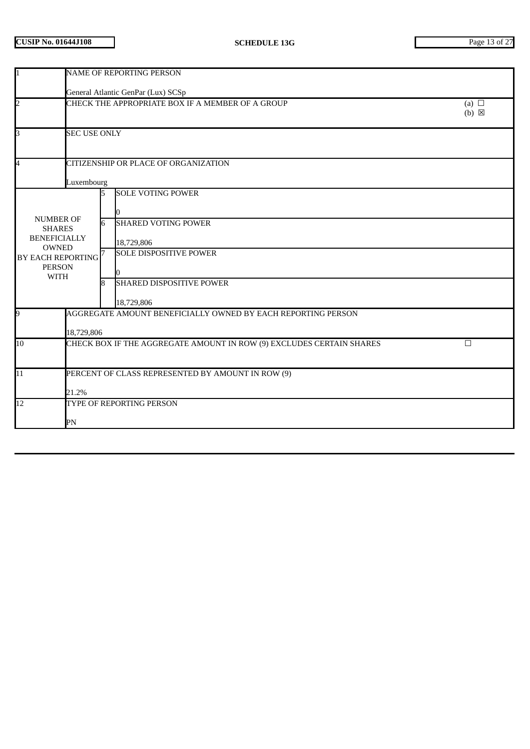| <b>NAME OF REPORTING PERSON</b>                                                                   |                               |                                             |                                                                                                                                                                                                                                                                                                                                                                                                |  |  |
|---------------------------------------------------------------------------------------------------|-------------------------------|---------------------------------------------|------------------------------------------------------------------------------------------------------------------------------------------------------------------------------------------------------------------------------------------------------------------------------------------------------------------------------------------------------------------------------------------------|--|--|
| General Atlantic GenPar (Lux) SCSp                                                                |                               |                                             |                                                                                                                                                                                                                                                                                                                                                                                                |  |  |
|                                                                                                   | (a) $\Box$<br>$(b) \boxtimes$ |                                             |                                                                                                                                                                                                                                                                                                                                                                                                |  |  |
|                                                                                                   |                               |                                             |                                                                                                                                                                                                                                                                                                                                                                                                |  |  |
|                                                                                                   |                               |                                             |                                                                                                                                                                                                                                                                                                                                                                                                |  |  |
|                                                                                                   |                               |                                             |                                                                                                                                                                                                                                                                                                                                                                                                |  |  |
| <b>NUMBER OF</b><br><b>SHARES</b><br><b>BENEFICIALLY</b><br><b>OWNED</b><br><b>PERSON</b><br>WITH |                               | 18,729,806<br><b>SOLE DISPOSITIVE POWER</b> |                                                                                                                                                                                                                                                                                                                                                                                                |  |  |
|                                                                                                   |                               |                                             |                                                                                                                                                                                                                                                                                                                                                                                                |  |  |
| 18,729,806                                                                                        |                               |                                             |                                                                                                                                                                                                                                                                                                                                                                                                |  |  |
| $\Box$                                                                                            |                               |                                             |                                                                                                                                                                                                                                                                                                                                                                                                |  |  |
| PERCENT OF CLASS REPRESENTED BY AMOUNT IN ROW (9)                                                 |                               |                                             |                                                                                                                                                                                                                                                                                                                                                                                                |  |  |
| 21.2%                                                                                             |                               |                                             |                                                                                                                                                                                                                                                                                                                                                                                                |  |  |
|                                                                                                   |                               |                                             |                                                                                                                                                                                                                                                                                                                                                                                                |  |  |
| PN                                                                                                |                               |                                             |                                                                                                                                                                                                                                                                                                                                                                                                |  |  |
|                                                                                                   |                               | Luxembourg<br>6<br>BY EACH REPORTING<br>ß.  | CHECK THE APPROPRIATE BOX IF A MEMBER OF A GROUP<br><b>SEC USE ONLY</b><br>CITIZENSHIP OR PLACE OF ORGANIZATION<br><b>SOLE VOTING POWER</b><br><b>SHARED VOTING POWER</b><br><b>SHARED DISPOSITIVE POWER</b><br>18,729,806<br>AGGREGATE AMOUNT BENEFICIALLY OWNED BY EACH REPORTING PERSON<br>CHECK BOX IF THE AGGREGATE AMOUNT IN ROW (9) EXCLUDES CERTAIN SHARES<br>TYPE OF REPORTING PERSON |  |  |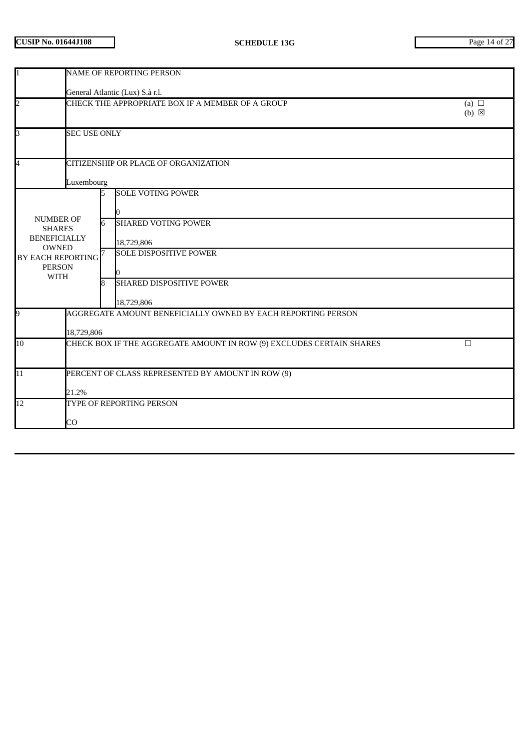| $\overline{1}$                                                                                                                | <b>NAME OF REPORTING PERSON</b>                                                |    |                                                                           |  |
|-------------------------------------------------------------------------------------------------------------------------------|--------------------------------------------------------------------------------|----|---------------------------------------------------------------------------|--|
|                                                                                                                               |                                                                                |    | General Atlantic (Lux) S.à r.l.                                           |  |
| $\overline{a}$                                                                                                                | CHECK THE APPROPRIATE BOX IF A MEMBER OF A GROUP                               |    | (a) $\Box$<br>$(b) \boxtimes$                                             |  |
| 3                                                                                                                             | <b>SEC USE ONLY</b>                                                            |    |                                                                           |  |
| $\overline{\mathcal{A}}$<br>CITIZENSHIP OR PLACE OF ORGANIZATION<br>Luxembourg                                                |                                                                                |    |                                                                           |  |
| <b>NUMBER OF</b><br><b>SHARES</b><br><b>BENEFICIALLY</b><br><b>OWNED</b><br>BY EACH REPORTING<br><b>PERSON</b><br><b>WITH</b> |                                                                                |    | <b>SOLE VOTING POWER</b>                                                  |  |
|                                                                                                                               |                                                                                |    | <b>SHARED VOTING POWER</b><br>18,729,806<br><b>SOLE DISPOSITIVE POWER</b> |  |
|                                                                                                                               |                                                                                |    |                                                                           |  |
|                                                                                                                               |                                                                                | ß. | <b>SHARED DISPOSITIVE POWER</b><br>18,729,806                             |  |
| 9                                                                                                                             | AGGREGATE AMOUNT BENEFICIALLY OWNED BY EACH REPORTING PERSON<br>18,729,806     |    |                                                                           |  |
| 10                                                                                                                            | CHECK BOX IF THE AGGREGATE AMOUNT IN ROW (9) EXCLUDES CERTAIN SHARES<br>$\Box$ |    |                                                                           |  |
| 11                                                                                                                            | PERCENT OF CLASS REPRESENTED BY AMOUNT IN ROW (9)<br>21.2%                     |    |                                                                           |  |
| 12                                                                                                                            | TYPE OF REPORTING PERSON<br>CO                                                 |    |                                                                           |  |
|                                                                                                                               |                                                                                |    |                                                                           |  |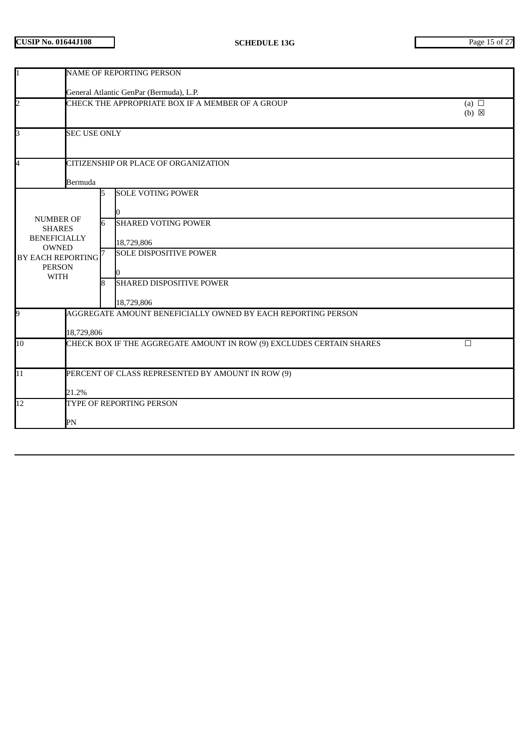| 1                                                                                                                                          | NAME OF REPORTING PERSON                                                          |             |                                                                                                                                                        |  |
|--------------------------------------------------------------------------------------------------------------------------------------------|-----------------------------------------------------------------------------------|-------------|--------------------------------------------------------------------------------------------------------------------------------------------------------|--|
|                                                                                                                                            | General Atlantic GenPar (Bermuda), L.P.                                           |             |                                                                                                                                                        |  |
| $\overline{2}$                                                                                                                             | CHECK THE APPROPRIATE BOX IF A MEMBER OF A GROUP<br>(a) $\Box$<br>$(b) \boxtimes$ |             |                                                                                                                                                        |  |
| 3                                                                                                                                          | <b>SEC USE ONLY</b>                                                               |             |                                                                                                                                                        |  |
| 4                                                                                                                                          | CITIZENSHIP OR PLACE OF ORGANIZATION<br>Bermuda                                   |             |                                                                                                                                                        |  |
| <b>NUMBER OF</b><br><b>SHARES</b><br><b>BENEFICIALLY</b><br><b>OWNED</b><br>BY EACH REPORTING <sup>7</sup><br><b>PERSON</b><br><b>WITH</b> |                                                                                   | 5<br>6<br>8 | <b>SOLE VOTING POWER</b><br><b>SHARED VOTING POWER</b><br>18,729,806<br><b>SOLE DISPOSITIVE POWER</b><br><b>SHARED DISPOSITIVE POWER</b><br>18,729,806 |  |
| 9<br>AGGREGATE AMOUNT BENEFICIALLY OWNED BY EACH REPORTING PERSON<br>18,729,806                                                            |                                                                                   |             |                                                                                                                                                        |  |
| 10                                                                                                                                         | CHECK BOX IF THE AGGREGATE AMOUNT IN ROW (9) EXCLUDES CERTAIN SHARES<br>$\Box$    |             |                                                                                                                                                        |  |
| $\overline{11}$                                                                                                                            | PERCENT OF CLASS REPRESENTED BY AMOUNT IN ROW (9)<br>21.2%                        |             |                                                                                                                                                        |  |
| $\overline{12}$                                                                                                                            | TYPE OF REPORTING PERSON<br>PN                                                    |             |                                                                                                                                                        |  |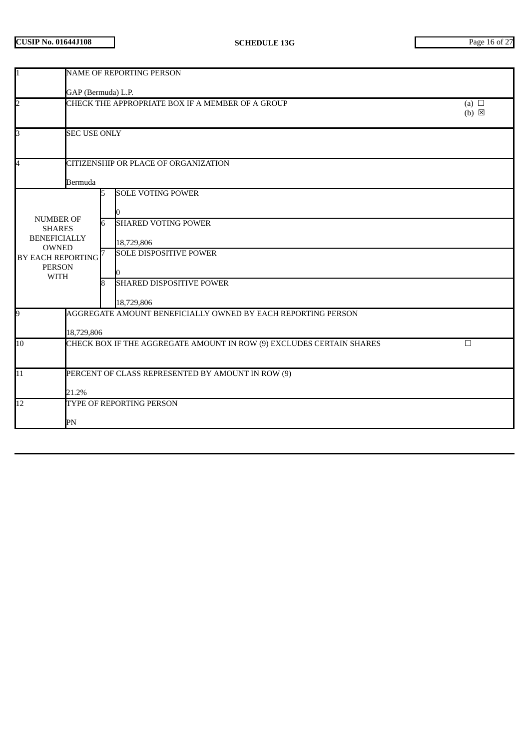| 11                                                                                                                                         | <b>NAME OF REPORTING PERSON</b>                                                   |              |                                                                                                                                                        |  |
|--------------------------------------------------------------------------------------------------------------------------------------------|-----------------------------------------------------------------------------------|--------------|--------------------------------------------------------------------------------------------------------------------------------------------------------|--|
|                                                                                                                                            | GAP (Bermuda) L.P.                                                                |              |                                                                                                                                                        |  |
| $\overline{2}$                                                                                                                             | CHECK THE APPROPRIATE BOX IF A MEMBER OF A GROUP<br>(a) $\Box$<br>$(b) \boxtimes$ |              |                                                                                                                                                        |  |
| B                                                                                                                                          | <b>SEC USE ONLY</b>                                                               |              |                                                                                                                                                        |  |
| 4                                                                                                                                          | CITIZENSHIP OR PLACE OF ORGANIZATION<br>Bermuda                                   |              |                                                                                                                                                        |  |
| <b>NUMBER OF</b><br><b>SHARES</b><br><b>BENEFICIALLY</b><br><b>OWNED</b><br>BY EACH REPORTING <sup>7</sup><br><b>PERSON</b><br><b>WITH</b> |                                                                                   | 5<br>6<br>R. | <b>SOLE VOTING POWER</b><br><b>SHARED VOTING POWER</b><br>18,729,806<br><b>SOLE DISPOSITIVE POWER</b><br><b>SHARED DISPOSITIVE POWER</b><br>18,729,806 |  |
| 9<br>AGGREGATE AMOUNT BENEFICIALLY OWNED BY EACH REPORTING PERSON<br>18,729,806                                                            |                                                                                   |              |                                                                                                                                                        |  |
| 10                                                                                                                                         | CHECK BOX IF THE AGGREGATE AMOUNT IN ROW (9) EXCLUDES CERTAIN SHARES<br>$\Box$    |              |                                                                                                                                                        |  |
| $\overline{11}$                                                                                                                            | PERCENT OF CLASS REPRESENTED BY AMOUNT IN ROW (9)<br>21.2%                        |              |                                                                                                                                                        |  |
| $\overline{12}$                                                                                                                            | TYPE OF REPORTING PERSON<br>PN                                                    |              |                                                                                                                                                        |  |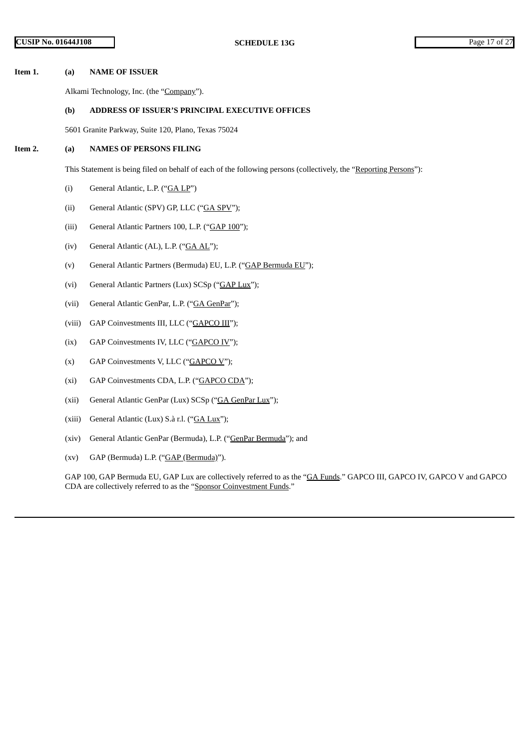#### **Item 1. (a) NAME OF ISSUER**

Alkami Technology, Inc. (the "Company").

#### **(b) ADDRESS OF ISSUER'S PRINCIPAL EXECUTIVE OFFICES**

5601 Granite Parkway, Suite 120, Plano, Texas 75024

#### **Item 2. (a) NAMES OF PERSONS FILING**

This Statement is being filed on behalf of each of the following persons (collectively, the "Reporting Persons"):

- (i) General Atlantic, L.P. ("GA LP")
- (ii) General Atlantic (SPV) GP, LLC ("GA SPV");
- (iii) General Atlantic Partners 100, L.P. ("GAP 100");
- (iv) General Atlantic (AL), L.P. ("GA AL");
- (v) General Atlantic Partners (Bermuda) EU, L.P. ("GAP Bermuda EU");
- (vi) General Atlantic Partners (Lux) SCSp ("GAP Lux");
- (vii) General Atlantic GenPar, L.P. ("GA GenPar");
- (viii) GAP Coinvestments III, LLC ("GAPCO III");
- (ix) GAP Coinvestments IV, LLC ("GAPCO IV");
- (x) GAP Coinvestments V, LLC (" $GAPCO V$ ");
- (xi) GAP Coinvestments CDA, L.P. ("GAPCO CDA");
- (xii) General Atlantic GenPar (Lux) SCSp ("GA GenPar Lux");
- (xiii) General Atlantic (Lux) S.à r.l. ("GA Lux");
- (xiv) General Atlantic GenPar (Bermuda), L.P. ("GenPar Bermuda"); and
- (xv) GAP (Bermuda) L.P. ("GAP (Bermuda)").

GAP 100, GAP Bermuda EU, GAP Lux are collectively referred to as the "GA Funds." GAPCO III, GAPCO IV, GAPCO V and GAPCO CDA are collectively referred to as the "Sponsor Coinvestment Funds."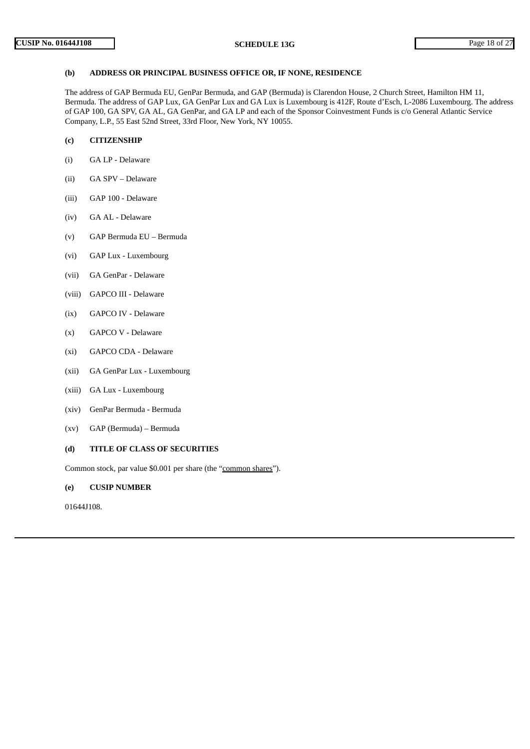### **(b) ADDRESS OR PRINCIPAL BUSINESS OFFICE OR, IF NONE, RESIDENCE**

The address of GAP Bermuda EU, GenPar Bermuda, and GAP (Bermuda) is Clarendon House, 2 Church Street, Hamilton HM 11, Bermuda. The address of GAP Lux, GA GenPar Lux and GA Lux is Luxembourg is 412F, Route d'Esch, L-2086 Luxembourg. The address of GAP 100, GA SPV, GA AL, GA GenPar, and GA LP and each of the Sponsor Coinvestment Funds is c/o General Atlantic Service Company, L.P., 55 East 52nd Street, 33rd Floor, New York, NY 10055.

## **(c) CITIZENSHIP**

- (i) GA LP Delaware
- (ii) GA SPV Delaware
- (iii) GAP 100 Delaware
- (iv) GA AL Delaware
- (v) GAP Bermuda EU Bermuda
- (vi) GAP Lux Luxembourg
- (vii) GA GenPar Delaware
- (viii) GAPCO III Delaware
- (ix) GAPCO IV Delaware
- (x) GAPCO V Delaware
- (xi) GAPCO CDA Delaware
- (xii) GA GenPar Lux Luxembourg
- (xiii) GA Lux Luxembourg
- (xiv) GenPar Bermuda Bermuda
- (xv) GAP (Bermuda) Bermuda

### **(d) TITLE OF CLASS OF SECURITIES**

Common stock, par value \$0.001 per share (the "common shares").

## **(e) CUSIP NUMBER**

01644J108.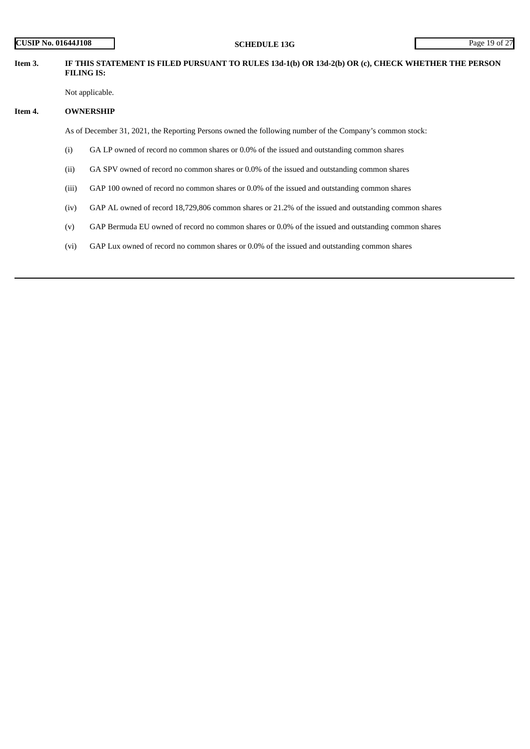| <b>CUSIP No. 01644J108</b> |                   | <b>SCHEDULE 13G</b>                                                                                      | Page 19 of 27 |  |
|----------------------------|-------------------|----------------------------------------------------------------------------------------------------------|---------------|--|
| Item 3.                    | <b>FILING IS:</b> | IF THIS STATEMENT IS FILED PURSUANT TO RULES 13d-1(b) OR 13d-2(b) OR (c), CHECK WHETHER THE PERSON       |               |  |
|                            |                   | Not applicable.                                                                                          |               |  |
| Item 4.                    | <b>OWNERSHIP</b>  |                                                                                                          |               |  |
|                            |                   | As of December 31, 2021, the Reporting Persons owned the following number of the Company's common stock: |               |  |
|                            | (i)               | GA LP owned of record no common shares or 0.0% of the issued and outstanding common shares               |               |  |
|                            | (ii)              | GA SPV owned of record no common shares or 0.0% of the issued and outstanding common shares              |               |  |
|                            | (iii)             | GAP 100 owned of record no common shares or 0.0% of the issued and outstanding common shares             |               |  |
|                            | (iv)              | GAP AL owned of record 18,729,806 common shares or 21.2% of the issued and outstanding common shares     |               |  |
|                            | (v)               | GAP Bermuda EU owned of record no common shares or 0.0% of the issued and outstanding common shares      |               |  |
|                            | (vi)              | GAP Lux owned of record no common shares or 0.0% of the issued and outstanding common shares             |               |  |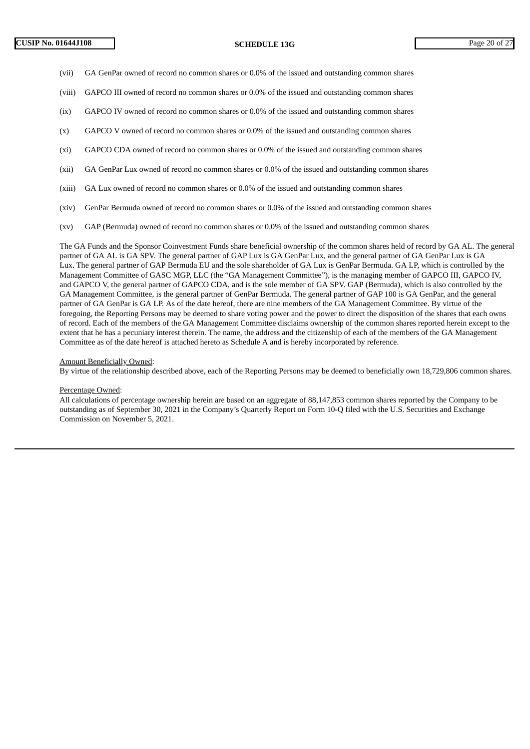- (vii) GA GenPar owned of record no common shares or 0.0% of the issued and outstanding common shares
- (viii) GAPCO III owned of record no common shares or 0.0% of the issued and outstanding common shares
- (ix) GAPCO IV owned of record no common shares or 0.0% of the issued and outstanding common shares
- (x) GAPCO V owned of record no common shares or 0.0% of the issued and outstanding common shares
- (xi) GAPCO CDA owned of record no common shares or 0.0% of the issued and outstanding common shares
- (xii) GA GenPar Lux owned of record no common shares or 0.0% of the issued and outstanding common shares
- (xiii) GA Lux owned of record no common shares or 0.0% of the issued and outstanding common shares
- (xiv) GenPar Bermuda owned of record no common shares or 0.0% of the issued and outstanding common shares
- (xv) GAP (Bermuda) owned of record no common shares or 0.0% of the issued and outstanding common shares

The GA Funds and the Sponsor Coinvestment Funds share beneficial ownership of the common shares held of record by GA AL. The general partner of GA AL is GA SPV. The general partner of GAP Lux is GA GenPar Lux, and the general partner of GA GenPar Lux is GA Lux. The general partner of GAP Bermuda EU and the sole shareholder of GA Lux is GenPar Bermuda. GA LP, which is controlled by the Management Committee of GASC MGP, LLC (the "GA Management Committee"), is the managing member of GAPCO III, GAPCO IV, and GAPCO V, the general partner of GAPCO CDA, and is the sole member of GA SPV. GAP (Bermuda), which is also controlled by the GA Management Committee, is the general partner of GenPar Bermuda. The general partner of GAP 100 is GA GenPar, and the general partner of GA GenPar is GA LP. As of the date hereof, there are nine members of the GA Management Committee. By virtue of the foregoing, the Reporting Persons may be deemed to share voting power and the power to direct the disposition of the shares that each owns of record. Each of the members of the GA Management Committee disclaims ownership of the common shares reported herein except to the extent that he has a pecuniary interest therein. The name, the address and the citizenship of each of the members of the GA Management Committee as of the date hereof is attached hereto as Schedule A and is hereby incorporated by reference.

#### Amount Beneficially Owned:

By virtue of the relationship described above, each of the Reporting Persons may be deemed to beneficially own 18,729,806 common shares.

### Percentage Owned:

All calculations of percentage ownership herein are based on an aggregate of 88,147,853 common shares reported by the Company to be outstanding as of September 30, 2021 in the Company's Quarterly Report on Form 10-Q filed with the U.S. Securities and Exchange Commission on November 5, 2021.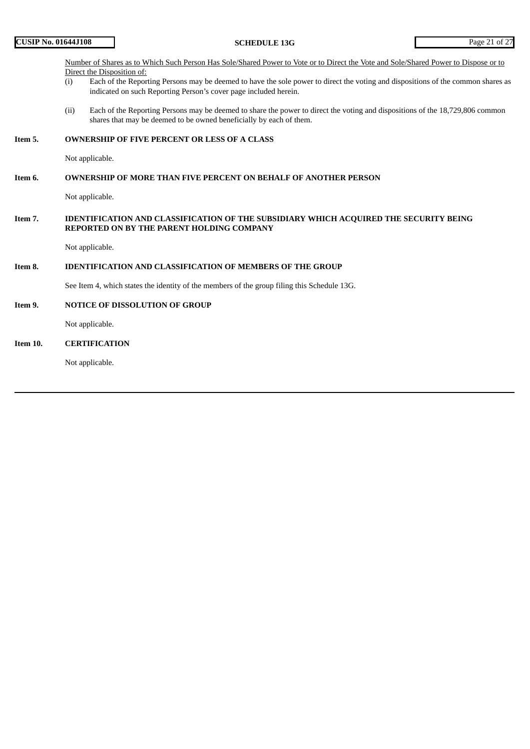### Number of Shares as to Which Such Person Has Sole/Shared Power to Vote or to Direct the Vote and Sole/Shared Power to Dispose or to Direct the Disposition of:

- (i) Each of the Reporting Persons may be deemed to have the sole power to direct the voting and dispositions of the common shares as indicated on such Reporting Person's cover page included herein.
- (ii) Each of the Reporting Persons may be deemed to share the power to direct the voting and dispositions of the 18,729,806 common shares that may be deemed to be owned beneficially by each of them.

### **Item 5. OWNERSHIP OF FIVE PERCENT OR LESS OF A CLASS**

Not applicable.

#### **Item 6. OWNERSHIP OF MORE THAN FIVE PERCENT ON BEHALF OF ANOTHER PERSON**

Not applicable.

### **Item 7. IDENTIFICATION AND CLASSIFICATION OF THE SUBSIDIARY WHICH ACQUIRED THE SECURITY BEING REPORTED ON BY THE PARENT HOLDING COMPANY**

Not applicable.

## **Item 8. IDENTIFICATION AND CLASSIFICATION OF MEMBERS OF THE GROUP**

See Item 4, which states the identity of the members of the group filing this Schedule 13G.

#### **Item 9. NOTICE OF DISSOLUTION OF GROUP**

Not applicable.

### **Item 10. CERTIFICATION**

Not applicable.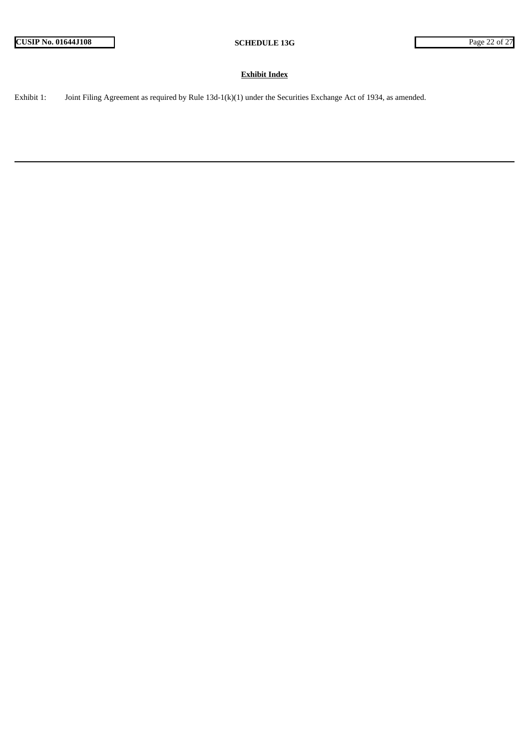### **Exhibit Index**

Exhibit 1: Joint Filing Agreement as required by Rule 13d-1(k)(1) under the Securities Exchange Act of 1934, as amended.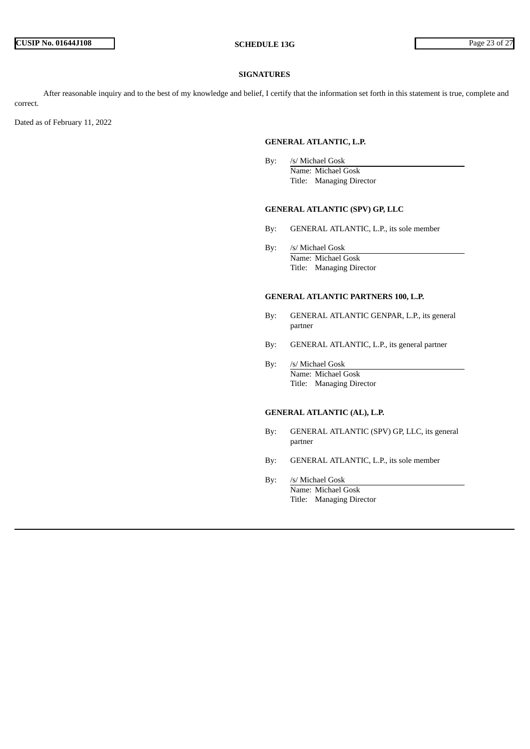#### **SIGNATURES**

After reasonable inquiry and to the best of my knowledge and belief, I certify that the information set forth in this statement is true, complete and correct.

Dated as of February 11, 2022

#### **GENERAL ATLANTIC, L.P.**

By: /s/ Michael Gosk Name: Michael Gosk Title: Managing Director

#### **GENERAL ATLANTIC (SPV) GP, LLC**

- By: GENERAL ATLANTIC, L.P., its sole member
- By: /s/ Michael Gosk Name: Michael Gosk Title: Managing Director

### **GENERAL ATLANTIC PARTNERS 100, L.P.**

- By: GENERAL ATLANTIC GENPAR, L.P., its general partner
- By: GENERAL ATLANTIC, L.P., its general partner
- By: /s/ Michael Gosk Name: Michael Gosk Title: Managing Director

## **GENERAL ATLANTIC (AL), L.P.**

- By: GENERAL ATLANTIC (SPV) GP, LLC, its general partner
- By: GENERAL ATLANTIC, L.P., its sole member
- By: /s/ Michael Gosk Name: Michael Gosk Title: Managing Director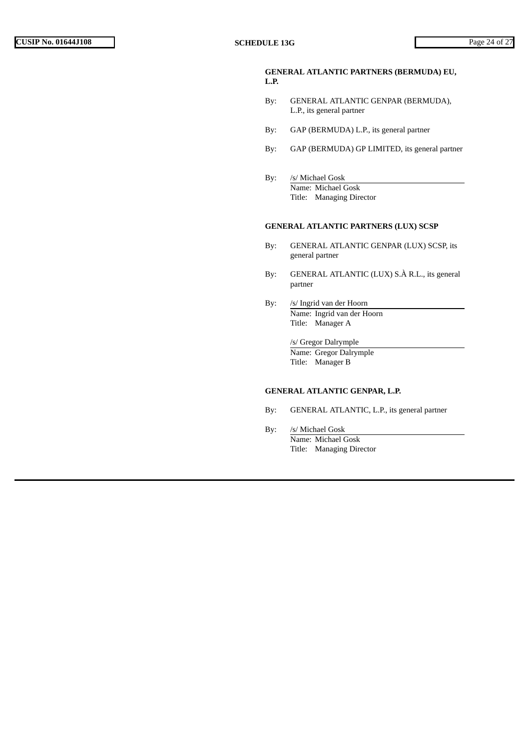### **GENERAL ATLANTIC PARTNERS (BERMUDA) EU, L.P.**

- By: GENERAL ATLANTIC GENPAR (BERMUDA), L.P., its general partner
- By: GAP (BERMUDA) L.P., its general partner
- By: GAP (BERMUDA) GP LIMITED, its general partner
- By: /s/ Michael Gosk Name: Michael Gosk Title: Managing Director

### **GENERAL ATLANTIC PARTNERS (LUX) SCSP**

- By: GENERAL ATLANTIC GENPAR (LUX) SCSP, its general partner
- By: GENERAL ATLANTIC (LUX) S.À R.L., its general partner
- By: /s/ Ingrid van der Hoorn Name: Ingrid van der Hoorn Title: Manager A

/s/ Gregor Dalrymple Name: Gregor Dalrymple Title: Manager B

### **GENERAL ATLANTIC GENPAR, L.P.**

- By: GENERAL ATLANTIC, L.P., its general partner
- By: /s/ Michael Gosk Name: Michael Gosk Title: Managing Director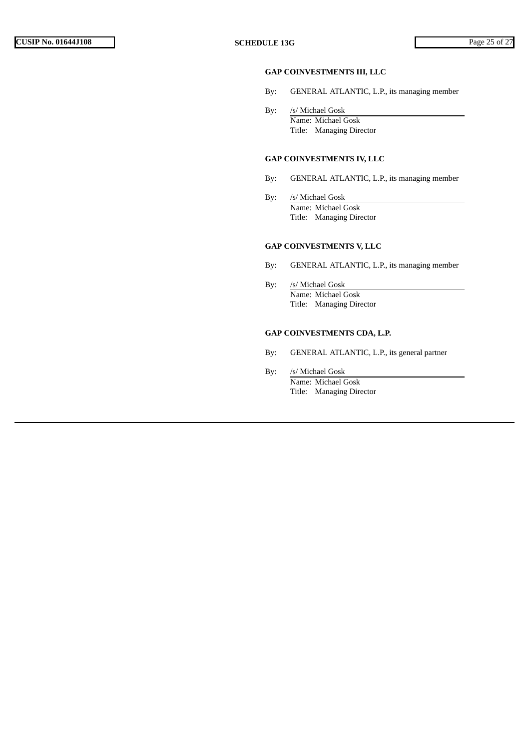### **GAP COINVESTMENTS III, LLC**

- By: GENERAL ATLANTIC, L.P., its managing member
- By: /s/ Michael Gosk Name: Michael Gosk Title: Managing Director

### **GAP COINVESTMENTS IV, LLC**

- By: GENERAL ATLANTIC, L.P., its managing member
- By: /s/ Michael Gosk Name: Michael Gosk Title: Managing Director

### **GAP COINVESTMENTS V, LLC**

- By: GENERAL ATLANTIC, L.P., its managing member
- By: /s/ Michael Gosk Name: Michael Gosk Title: Managing Director

### **GAP COINVESTMENTS CDA, L.P.**

- By: GENERAL ATLANTIC, L.P., its general partner
- By: /s/ Michael Gosk Name: Michael Gosk Title: Managing Director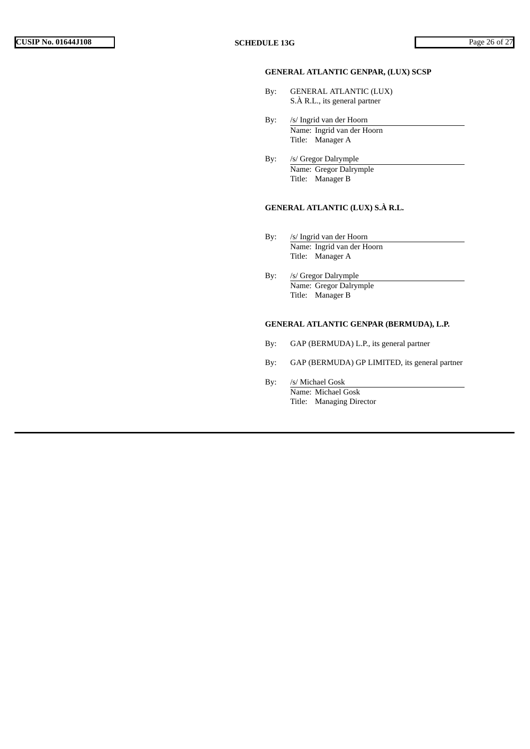### **GENERAL ATLANTIC GENPAR, (LUX) SCSP**

- By: GENERAL ATLANTIC (LUX) S.À R.L., its general partner
- By: /s/ Ingrid van der Hoorn Name: Ingrid van der Hoorn Title: Manager A
- By: /s/ Gregor Dalrymple Name: Gregor Dalrymple Title: Manager B

## **GENERAL ATLANTIC (LUX) S.À R.L.**

- By: /s/ Ingrid van der Hoorn Name: Ingrid van der Hoorn Title: Manager A
- By: /s/ Gregor Dalrymple Name: Gregor Dalrymple Title: Manager B

### **GENERAL ATLANTIC GENPAR (BERMUDA), L.P.**

- By: GAP (BERMUDA) L.P., its general partner
- By: GAP (BERMUDA) GP LIMITED, its general partner
- By: /s/ Michael Gosk Name: Michael Gosk Title: Managing Director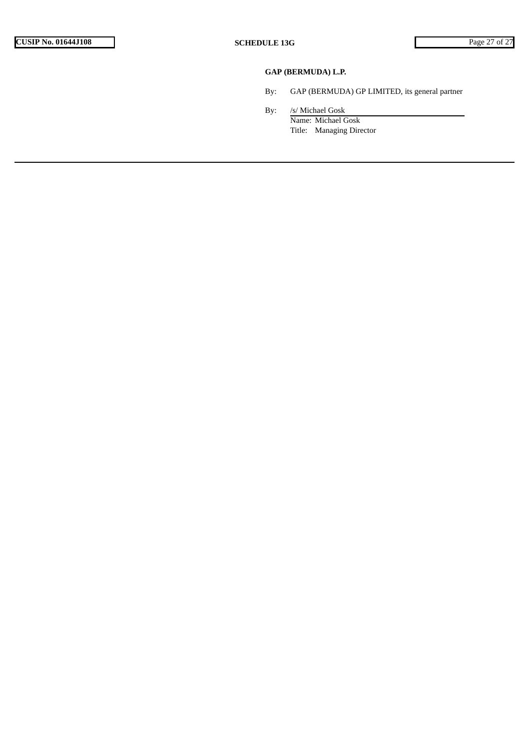# **GAP (BERMUDA) L.P.**

- By: GAP (BERMUDA) GP LIMITED, its general partner
- By: /s/ Michael Gosk Name: Michael Gosk Title: Managing Director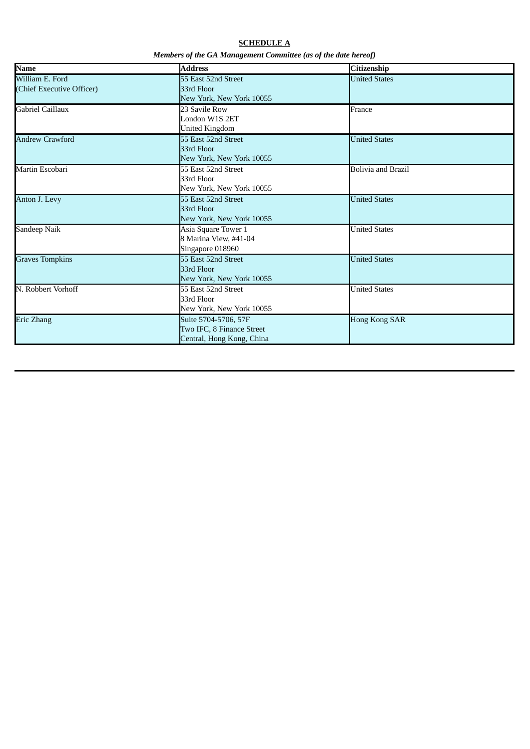# **SCHEDULE A** *Members of the GA Management Committee (as of the date hereof)*

| Name                                         | <b>Address</b>                                                                 | Citizenship               |
|----------------------------------------------|--------------------------------------------------------------------------------|---------------------------|
| William E. Ford<br>(Chief Executive Officer) | 55 East 52nd Street<br>33rd Floor<br>New York, New York 10055                  | <b>United States</b>      |
| Gabriel Caillaux                             | 23 Savile Row<br>London W1S 2ET<br><b>United Kingdom</b>                       | France                    |
| <b>Andrew Crawford</b>                       | 55 East 52nd Street<br>33rd Floor<br>New York, New York 10055                  | <b>United States</b>      |
| Martin Escobari                              | 55 East 52nd Street<br>33rd Floor<br>New York, New York 10055                  | <b>Bolivia and Brazil</b> |
| Anton J. Levy                                | 55 East 52nd Street<br>33rd Floor<br>New York, New York 10055                  | <b>United States</b>      |
| Sandeep Naik                                 | Asia Square Tower 1<br>8 Marina View, #41-04<br>Singapore 018960               | <b>United States</b>      |
| <b>Graves Tompkins</b>                       | 55 East 52nd Street<br>33rd Floor<br>New York, New York 10055                  | <b>United States</b>      |
| N. Robbert Vorhoff                           | 55 East 52nd Street<br>33rd Floor<br>New York, New York 10055                  | <b>United States</b>      |
| Eric Zhang                                   | Suite 5704-5706, 57F<br>Two IFC, 8 Finance Street<br>Central, Hong Kong, China | <b>Hong Kong SAR</b>      |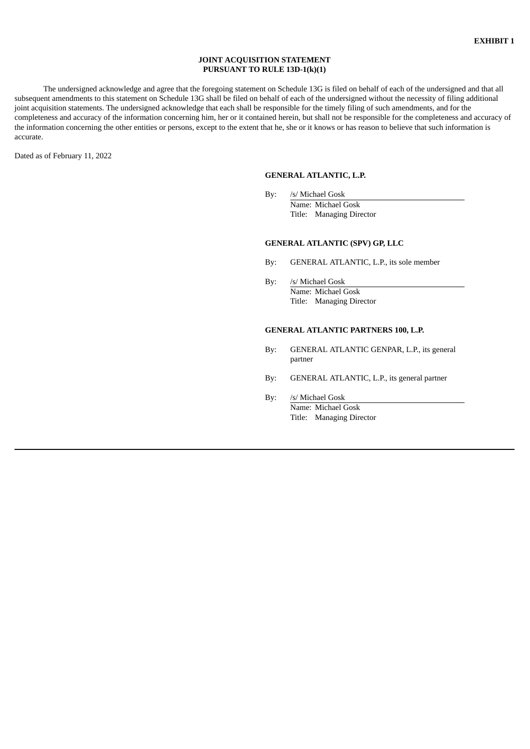#### **JOINT ACQUISITION STATEMENT PURSUANT TO RULE 13D-1(k)(1)**

The undersigned acknowledge and agree that the foregoing statement on Schedule 13G is filed on behalf of each of the undersigned and that all subsequent amendments to this statement on Schedule 13G shall be filed on behalf of each of the undersigned without the necessity of filing additional joint acquisition statements. The undersigned acknowledge that each shall be responsible for the timely filing of such amendments, and for the completeness and accuracy of the information concerning him, her or it contained herein, but shall not be responsible for the completeness and accuracy of the information concerning the other entities or persons, except to the extent that he, she or it knows or has reason to believe that such information is accurate.

Dated as of February 11, 2022

## **GENERAL ATLANTIC, L.P.**

By: /s/ Michael Gosk Name: Michael Gosk Title: Managing Director

### **GENERAL ATLANTIC (SPV) GP, LLC**

- By: GENERAL ATLANTIC, L.P., its sole member
- By: /s/ Michael Gosk Name: Michael Gosk Title: Managing Director

### **GENERAL ATLANTIC PARTNERS 100, L.P.**

- By: GENERAL ATLANTIC GENPAR, L.P., its general partner
- By: GENERAL ATLANTIC, L.P., its general partner
- By: /s/ Michael Gosk Name: Michael Gosk Title: Managing Director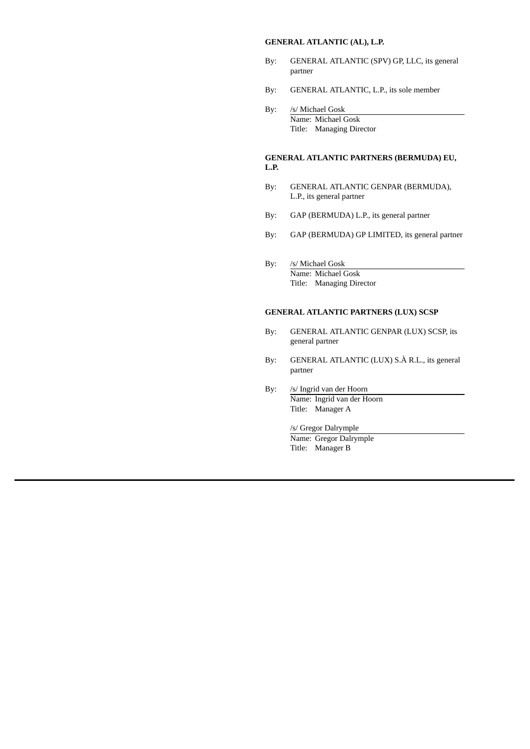### **GENERAL ATLANTIC (AL), L.P.**

- By: GENERAL ATLANTIC (SPV) GP, LLC, its general partner
- By: GENERAL ATLANTIC, L.P., its sole member
- By: /s/ Michael Gosk Name: Michael Gosk Title: Managing Director

## **GENERAL ATLANTIC PARTNERS (BERMUDA) EU, L.P.**

- By: GENERAL ATLANTIC GENPAR (BERMUDA), L.P., its general partner
- By: GAP (BERMUDA) L.P., its general partner
- By: GAP (BERMUDA) GP LIMITED, its general partner
- By: /s/ Michael Gosk Name: Michael Gosk Title: Managing Director

## **GENERAL ATLANTIC PARTNERS (LUX) SCSP**

- By: GENERAL ATLANTIC GENPAR (LUX) SCSP, its general partner
- By: GENERAL ATLANTIC (LUX) S.À R.L., its general partner
- By: /s/ Ingrid van der Hoorn Name: Ingrid van der Hoorn Title: Manager A

# /s/ Gregor Dalrymple

Name: Gregor Dalrymple Title: Manager B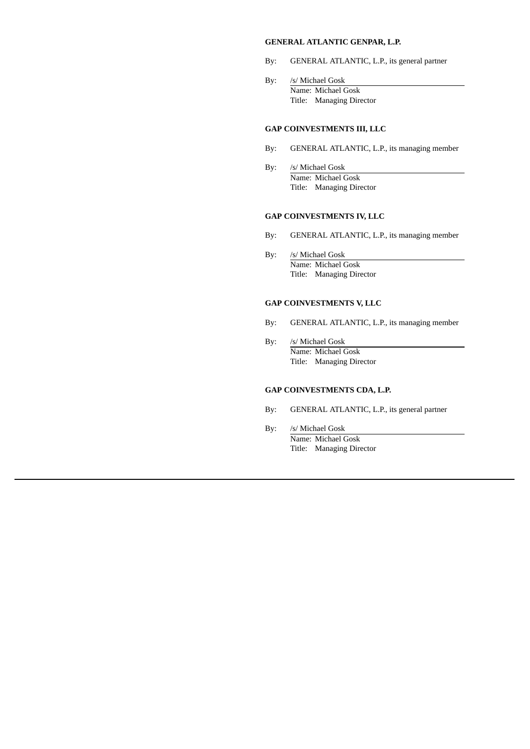### **GENERAL ATLANTIC GENPAR, L.P.**

- By: GENERAL ATLANTIC, L.P., its general partner
- By: /s/ Michael Gosk Name: Michael Gosk Title: Managing Director

### **GAP COINVESTMENTS III, LLC**

- By: GENERAL ATLANTIC, L.P., its managing member
- By: /s/ Michael Gosk Name: Michael Gosk Title: Managing Director

### **GAP COINVESTMENTS IV, LLC**

- By: GENERAL ATLANTIC, L.P., its managing member
- By: /s/ Michael Gosk Name: Michael Gosk Title: Managing Director

## **GAP COINVESTMENTS V, LLC**

- By: GENERAL ATLANTIC, L.P., its managing member
- By: /s/ Michael Gosk Name: Michael Gosk Title: Managing Director

## **GAP COINVESTMENTS CDA, L.P.**

- By: GENERAL ATLANTIC, L.P., its general partner
- By: /s/ Michael Gosk Name: Michael Gosk Title: Managing Director